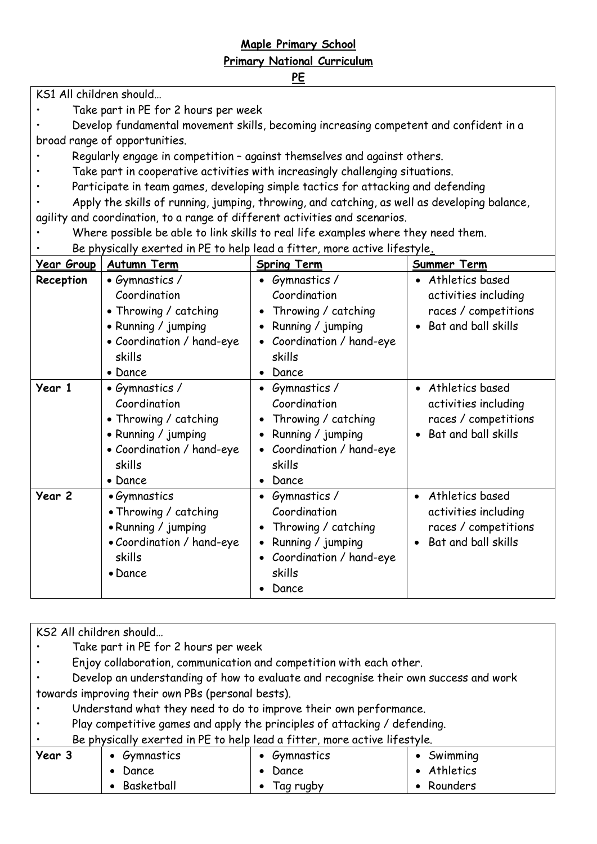## **Maple Primary School Primary National Curriculum**

## **PE**

KS1 All children should…

• Take part in PE for 2 hours per week

• Develop fundamental movement skills, becoming increasing competent and confident in a broad range of opportunities.

- Regularly engage in competition against themselves and against others.
- Take part in cooperative activities with increasingly challenging situations.
- Participate in team games, developing simple tactics for attacking and defending
- Apply the skills of running, jumping, throwing, and catching, as well as developing balance,

agility and coordination, to a range of different activities and scenarios.

• Where possible be able to link skills to real life examples where they need them.

• Be physically exerted in PE to help lead a fitter, more active lifestyle**.**

| <b>Year Group</b> | <b>Autumn Term</b>        | <b>Spring Term</b>        | Summer Term                  |
|-------------------|---------------------------|---------------------------|------------------------------|
| Reception         | • Gymnastics /            | Gymnastics /<br>$\bullet$ | • Athletics based            |
|                   | Coordination              | Coordination              | activities including         |
|                   | • Throwing / catching     | Throwing / catching       | races / competitions         |
|                   | • Running / jumping       | Running / jumping         | Bat and ball skills          |
|                   | • Coordination / hand-eye | Coordination / hand-eye   |                              |
|                   | skills                    | skills                    |                              |
|                   | • Dance                   | Dance                     |                              |
| Year 1            | • Gymnastics /            | • Gymnastics /            | • Athletics based            |
|                   | Coordination              | Coordination              | activities including         |
|                   | • Throwing / catching     | Throwing / catching       | races / competitions         |
|                   | • Running / jumping       | Running / jumping         | Bat and ball skills          |
|                   | • Coordination / hand-eye | Coordination / hand-eye   |                              |
|                   | skills                    | skills                    |                              |
|                   | • Dance                   | Dance                     |                              |
| Year 2            | • Gymnastics              | Gymnastics /              | Athletics based<br>$\bullet$ |
|                   | • Throwing / catching     | Coordination              | activities including         |
|                   | • Running / jumping       | Throwing / catching       | races / competitions         |
|                   | . Coordination / hand-eye | Running / jumping         | Bat and ball skills          |
|                   | skills                    | Coordination / hand-eye   |                              |
|                   | • Dance                   | skills                    |                              |
|                   |                           | Dance                     |                              |

KS2 All children should…

- Take part in PE for 2 hours per week
- Enjoy collaboration, communication and competition with each other.
- Develop an understanding of how to evaluate and recognise their own success and work towards improving their own PBs (personal bests).
- Understand what they need to do to improve their own performance.
- Play competitive games and apply the principles of attacking / defending.
- Be physically exerted in PE to help lead a fitter, more active lifestyle.

| Year 3 | Gymnastics | Gymnastics | Swimming    |
|--------|------------|------------|-------------|
|        | Dance      | Dance      | • Athletics |
|        | Basketball | Tag rugby  | Rounders    |